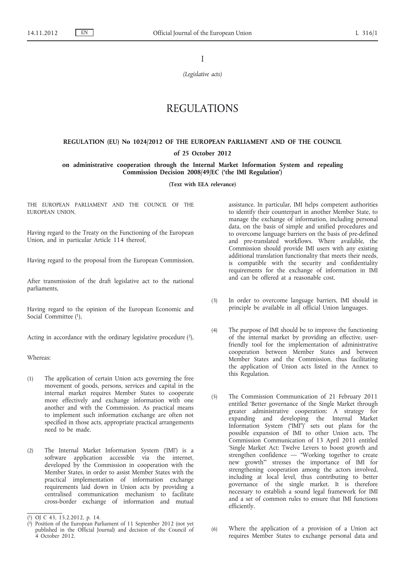I

*(Legislative acts)*

# REGULATIONS

# **REGULATION (EU) No 1024/2012 OF THE EUROPEAN PARLIAMENT AND OF THE COUNCIL**

# **of 25 October 2012**

# **on administrative cooperation through the Internal Market Information System and repealing Commission Decision 2008/49/EC ('the IMI Regulation')**

**(Text with EEA relevance)**

THE EUROPEAN PARLIAMENT AND THE COUNCIL OF THE EUROPEAN UNION,

Having regard to the Treaty on the Functioning of the European Union, and in particular Article 114 thereof,

Having regard to the proposal from the European Commission,

After transmission of the draft legislative act to the national parliaments,

Having regard to the opinion of the European Economic and Social Committee (1),

Acting in accordance with the ordinary legislative procedure  $(2)$ ,

Whereas:

- (1) The application of certain Union acts governing the free movement of goods, persons, services and capital in the internal market requires Member States to cooperate more effectively and exchange information with one another and with the Commission. As practical means to implement such information exchange are often not specified in those acts, appropriate practical arrangements need to be made.
- (2) The Internal Market Information System ('IMI') is a software application accessible via the internet, developed by the Commission in cooperation with the Member States, in order to assist Member States with the practical implementation of information exchange requirements laid down in Union acts by providing a centralised communication mechanism to facilitate cross-border exchange of information and mutual

assistance. In particular, IMI helps competent authorities to identify their counterpart in another Member State, to manage the exchange of information, including personal data, on the basis of simple and unified procedures and to overcome language barriers on the basis of pre-defined and pre-translated workflows. Where available, the Commission should provide IMI users with any existing additional translation functionality that meets their needs, is compatible with the security and confidentiality requirements for the exchange of information in IMI and can be offered at a reasonable cost.

- (3) In order to overcome language barriers, IMI should in principle be available in all official Union languages.
- (4) The purpose of IMI should be to improve the functioning of the internal market by providing an effective, userfriendly tool for the implementation of administrative cooperation between Member States and between Member States and the Commission, thus facilitating the application of Union acts listed in the Annex to this Regulation.
- (5) The Commission Communication of 21 February 2011 entitled 'Better governance of the Single Market through greater administrative cooperation: A strategy for expanding and developing the Internal Market Information System ("IMI")' sets out plans for the possible expansion of IMI to other Union acts. The Commission Communication of 13 April 2011 entitled 'Single Market Act: Twelve Levers to boost growth and strengthen confidence — "Working together to create new growth"' stresses the importance of IMI for strengthening cooperation among the actors involved, including at local level, thus contributing to better governance of the single market. It is therefore necessary to establish a sound legal framework for IMI and a set of common rules to ensure that IMI functions efficiently.
- (6) Where the application of a provision of a Union act requires Member States to exchange personal data and

<sup>(</sup> 1) OJ C 43, 15.2.2012, p. 14.

<sup>(</sup> 2) Position of the European Parliament of 11 September 2012 (not yet published in the Official Journal) and decision of the Council of 4 October 2012.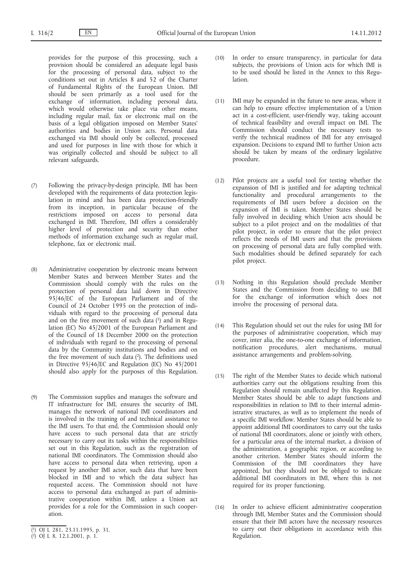provides for the purpose of this processing, such a provision should be considered an adequate legal basis for the processing of personal data, subject to the conditions set out in Articles 8 and 52 of the Charter of Fundamental Rights of the European Union. IMI should be seen primarily as a tool used for the exchange of information, including personal data, which would otherwise take place via other means, including regular mail, fax or electronic mail on the basis of a legal obligation imposed on Member States' authorities and bodies in Union acts. Personal data exchanged via IMI should only be collected, processed and used for purposes in line with those for which it was originally collected and should be subject to all relevant safeguards.

- (7) Following the privacy-by-design principle, IMI has been developed with the requirements of data protection legislation in mind and has been data protection-friendly from its inception, in particular because of the restrictions imposed on access to personal data exchanged in IMI. Therefore, IMI offers a considerably higher level of protection and security than other methods of information exchange such as regular mail, telephone, fax or electronic mail.
- (8) Administrative cooperation by electronic means between Member States and between Member States and the Commission should comply with the rules on the protection of personal data laid down in Directive 95/46/EC of the European Parliament and of the Council of 24 October 1995 on the protection of individuals with regard to the processing of personal data and on the free movement of such data  $(1)$  and in Regulation (EC) No 45/2001 of the European Parliament and of the Council of 18 December 2000 on the protection of individuals with regard to the processing of personal data by the Community institutions and bodies and on the free movement of such data  $(2)$ . The definitions used in Directive 95/46/EC and Regulation (EC) No 45/2001 should also apply for the purposes of this Regulation.
- (9) The Commission supplies and manages the software and IT infrastructure for IMI, ensures the security of IMI, manages the network of national IMI coordinators and is involved in the training of and technical assistance to the IMI users. To that end, the Commission should only have access to such personal data that are strictly necessary to carry out its tasks within the responsibilities set out in this Regulation, such as the registration of national IMI coordinators. The Commission should also have access to personal data when retrieving, upon a request by another IMI actor, such data that have been blocked in IMI and to which the data subject has requested access. The Commission should not have access to personal data exchanged as part of administrative cooperation within IMI, unless a Union act provides for a role for the Commission in such cooperation.
- (10) In order to ensure transparency, in particular for data subjects, the provisions of Union acts for which IMI is to be used should be listed in the Annex to this Regu**lation**
- (11) IMI may be expanded in the future to new areas, where it can help to ensure effective implementation of a Union act in a cost-efficient, user-friendly way, taking account of technical feasibility and overall impact on IMI. The Commission should conduct the necessary tests to verify the technical readiness of IMI for any envisaged expansion. Decisions to expand IMI to further Union acts should be taken by means of the ordinary legislative procedure.
- (12) Pilot projects are a useful tool for testing whether the expansion of IMI is justified and for adapting technical functionality and procedural arrangements to the requirements of IMI users before a decision on the expansion of IMI is taken. Member States should be fully involved in deciding which Union acts should be subject to a pilot project and on the modalities of that pilot project, in order to ensure that the pilot project reflects the needs of IMI users and that the provisions on processing of personal data are fully complied with. Such modalities should be defined separately for each pilot project.
- (13) Nothing in this Regulation should preclude Member States and the Commission from deciding to use IMI for the exchange of information which does not involve the processing of personal data.
- (14) This Regulation should set out the rules for using IMI for the purposes of administrative cooperation, which may cover, inter alia, the one-to-one exchange of information, notification procedures, alert mechanisms, mutual assistance arrangements and problem-solving.
- (15) The right of the Member States to decide which national authorities carry out the obligations resulting from this Regulation should remain unaffected by this Regulation. Member States should be able to adapt functions and responsibilities in relation to IMI to their internal administrative structures, as well as to implement the needs of a specific IMI workflow. Member States should be able to appoint additional IMI coordinators to carry out the tasks of national IMI coordinators, alone or jointly with others, for a particular area of the internal market, a division of the administration, a geographic region, or according to another criterion. Member States should inform the Commission of the IMI coordinators they have appointed, but they should not be obliged to indicate additional IMI coordinators in IMI, where this is not required for its proper functioning.
- (16) In order to achieve efficient administrative cooperation through IMI, Member States and the Commission should ensure that their IMI actors have the necessary resources to carry out their obligations in accordance with this Regulation.

<sup>(</sup> 1) OJ L 281, 23.11.1995, p. 31.

<sup>(</sup> 2) OJ L 8, 12.1.2001, p. 1.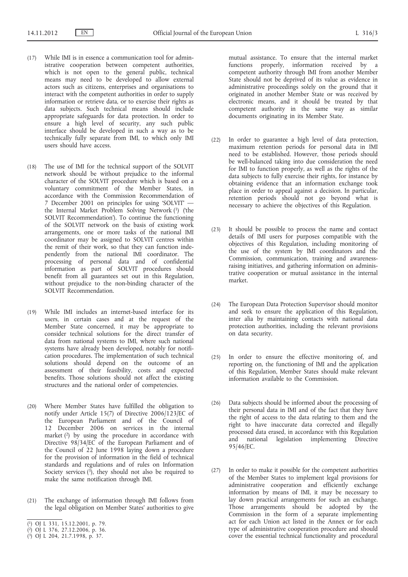- (17) While IMI is in essence a communication tool for administrative cooperation between competent authorities, which is not open to the general public, technical means may need to be developed to allow external actors such as citizens, enterprises and organisations to interact with the competent authorities in order to supply information or retrieve data, or to exercise their rights as data subjects. Such technical means should include appropriate safeguards for data protection. In order to ensure a high level of security, any such public interface should be developed in such a way as to be technically fully separate from IMI, to which only IMI users should have access.
- (18) The use of IMI for the technical support of the SOLVIT network should be without prejudice to the informal character of the SOLVIT procedure which is based on a voluntary commitment of the Member States, in accordance with the Commission Recommendation of 7 December 2001 on principles for using 'SOLVIT' the Internal Market Problem Solving Network (1) ('the SOLVIT Recommendation'). To continue the functioning of the SOLVIT network on the basis of existing work arrangements, one or more tasks of the national IMI coordinator may be assigned to SOLVIT centres within the remit of their work, so that they can function independently from the national IMI coordinator. The processing of personal data and of confidential information as part of SOLVIT procedures should benefit from all guarantees set out in this Regulation, without prejudice to the non-binding character of the SOLVIT Recommendation.
- (19) While IMI includes an internet-based interface for its users, in certain cases and at the request of the Member State concerned, it may be appropriate to consider technical solutions for the direct transfer of data from national systems to IMI, where such national systems have already been developed, notably for notification procedures. The implementation of such technical solutions should depend on the outcome of an assessment of their feasibility, costs and expected benefits. Those solutions should not affect the existing structures and the national order of competencies.
- (20) Where Member States have fulfilled the obligation to notify under Article 15(7) of Directive 2006/123/EC of the European Parliament and of the Council of 12 December 2006 on services in the internal market  $(2)$  by using the procedure in accordance with Directive 98/34/EC of the European Parliament and of the Council of 22 June 1998 laying down a procedure for the provision of information in the field of technical standards and regulations and of rules on Information Society services  $(3)$ , they should not also be required to make the same notification through IMI.
- (21) The exchange of information through IMI follows from the legal obligation on Member States' authorities to give

mutual assistance. To ensure that the internal market functions properly, information received by a competent authority through IMI from another Member State should not be deprived of its value as evidence in administrative proceedings solely on the ground that it originated in another Member State or was received by electronic means, and it should be treated by that competent authority in the same way as similar documents originating in its Member State.

- (22) In order to guarantee a high level of data protection, maximum retention periods for personal data in IMI need to be established. However, those periods should be well-balanced taking into due consideration the need for IMI to function properly, as well as the rights of the data subjects to fully exercise their rights, for instance by obtaining evidence that an information exchange took place in order to appeal against a decision. In particular, retention periods should not go beyond what is necessary to achieve the objectives of this Regulation.
- (23) It should be possible to process the name and contact details of IMI users for purposes compatible with the objectives of this Regulation, including monitoring of the use of the system by IMI coordinators and the Commission, communication, training and awarenessraising initiatives, and gathering information on administrative cooperation or mutual assistance in the internal market.
- (24) The European Data Protection Supervisor should monitor and seek to ensure the application of this Regulation, inter alia by maintaining contacts with national data protection authorities, including the relevant provisions on data security.
- (25) In order to ensure the effective monitoring of, and reporting on, the functioning of IMI and the application of this Regulation, Member States should make relevant information available to the Commission.
- (26) Data subjects should be informed about the processing of their personal data in IMI and of the fact that they have the right of access to the data relating to them and the right to have inaccurate data corrected and illegally processed data erased, in accordance with this Regulation and national legislation implementing Directive 95/46/EC.
- (27) In order to make it possible for the competent authorities of the Member States to implement legal provisions for administrative cooperation and efficiently exchange information by means of IMI, it may be necessary to lay down practical arrangements for such an exchange. Those arrangements should be adopted by the Commission in the form of a separate implementing act for each Union act listed in the Annex or for each type of administrative cooperation procedure and should cover the essential technical functionality and procedural

<sup>(</sup> 1) OJ L 331, 15.12.2001, p. 79.

<sup>(</sup> 2) OJ L 376, 27.12.2006, p. 36.

<sup>(</sup> 3) OJ L 204, 21.7.1998, p. 37.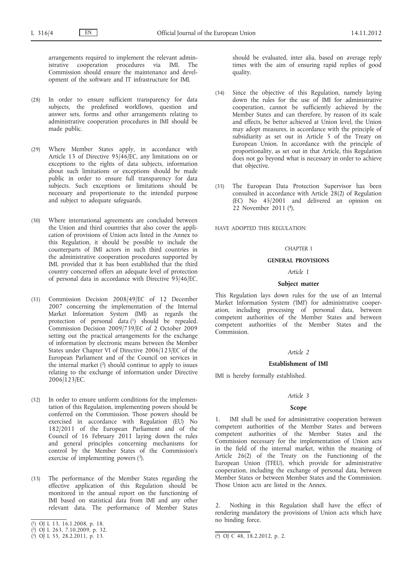arrangements required to implement the relevant administrative cooperation procedures via IMI. The Commission should ensure the maintenance and development of the software and IT infrastructure for IMI.

- (28) In order to ensure sufficient transparency for data subjects, the predefined workflows, question and answer sets, forms and other arrangements relating to administrative cooperation procedures in IMI should be made public.
- (29) Where Member States apply, in accordance with Article 13 of Directive  $95/46$ /EC, any limitations on or exceptions to the rights of data subjects, information about such limitations or exceptions should be made public in order to ensure full transparency for data subjects. Such exceptions or limitations should be necessary and proportionate to the intended purpose and subject to adequate safeguards.
- (30) Where international agreements are concluded between the Union and third countries that also cover the application of provisions of Union acts listed in the Annex to this Regulation, it should be possible to include the counterparts of IMI actors in such third countries in the administrative cooperation procedures supported by IMI, provided that it has been established that the third country concerned offers an adequate level of protection of personal data in accordance with Directive 95/46/EC.
- (31) Commission Decision 2008/49/EC of 12 December 2007 concerning the implementation of the Internal Market Information System (IMI) as regards the protection of personal data (1) should be repealed. Commission Decision 2009/739/EC of 2 October 2009 setting out the practical arrangements for the exchange of information by electronic means between the Member States under Chapter VI of Directive 2006/123/EC of the European Parliament and of the Council on services in the internal market  $(2)$  should continue to apply to issues relating to the exchange of information under Directive 2006/123/EC.
- (32) In order to ensure uniform conditions for the implementation of this Regulation, implementing powers should be conferred on the Commission. Those powers should be exercised in accordance with Regulation (EU) No 182/2011 of the European Parliament and of the Council of 16 February 2011 laying down the rules and general principles concerning mechanisms for control by the Member States of the Commission's exercise of implementing powers  $(3)$ .
- (33) The performance of the Member States regarding the effective application of this Regulation should be monitored in the annual report on the functioning of IMI based on statistical data from IMI and any other relevant data. The performance of Member States
- ( 1) OJ L 13, 16.1.2008, p. 18.

should be evaluated, inter alia, based on average reply times with the aim of ensuring rapid replies of good quality.

- (34) Since the objective of this Regulation, namely laying down the rules for the use of IMI for administrative cooperation, cannot be sufficiently achieved by the Member States and can therefore, by reason of its scale and effects, be better achieved at Union level, the Union may adopt measures, in accordance with the principle of subsidiarity as set out in Article 5 of the Treaty on European Union. In accordance with the principle of proportionality, as set out in that Article, this Regulation does not go beyond what is necessary in order to achieve that objective.
- (35) The European Data Protection Supervisor has been consulted in accordance with Article 28(2) of Regulation (EC) No 45/2001 and delivered an opinion on 22 November 2011 (4),

HAVE ADOPTED THIS REGULATION:

### CHAPTER I

# **GENERAL PROVISIONS**

#### *Article 1*

### **Subject matter**

This Regulation lays down rules for the use of an Internal Market Information System ('IMI') for administrative cooperation, including processing of personal data, between competent authorities of the Member States and between competent authorities of the Member States and the Commission.

#### *Article 2*

# **Establishment of IMI**

IMI is hereby formally established.

#### *Article 3*

### **Scope**

1. IMI shall be used for administrative cooperation between competent authorities of the Member States and between competent authorities of the Member States and the Commission necessary for the implementation of Union acts in the field of the internal market, within the meaning of Article 26(2) of the Treaty on the Functioning of the European Union (TFEU), which provide for administrative cooperation, including the exchange of personal data, between Member States or between Member States and the Commission. Those Union acts are listed in the Annex.

2. Nothing in this Regulation shall have the effect of rendering mandatory the provisions of Union acts which have no binding force.

<sup>(</sup> 2) OJ L 263, 7.10.2009, p. 32.

<sup>(</sup> 3) OJ L 55, 28.2.2011, p. 13. (4) OJ C 48, 18.2.2012, p. 2.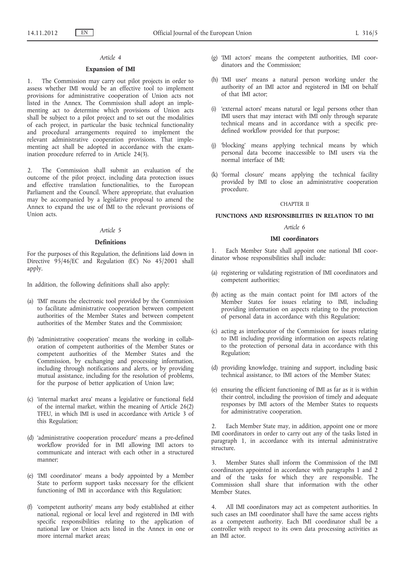# *Article 4*

# **Expansion of IMI**

1. The Commission may carry out pilot projects in order to assess whether IMI would be an effective tool to implement provisions for administrative cooperation of Union acts not listed in the Annex. The Commission shall adopt an implementing act to determine which provisions of Union acts shall be subject to a pilot project and to set out the modalities of each project, in particular the basic technical functionality and procedural arrangements required to implement the relevant administrative cooperation provisions. That implementing act shall be adopted in accordance with the examination procedure referred to in Article 24(3).

2. The Commission shall submit an evaluation of the outcome of the pilot project, including data protection issues and effective translation functionalities, to the European Parliament and the Council. Where appropriate, that evaluation may be accompanied by a legislative proposal to amend the Annex to expand the use of IMI to the relevant provisions of Union acts.

# *Article 5*

# **Definitions**

For the purposes of this Regulation, the definitions laid down in Directive  $95/46/EC$  and Regulation (EC) No 45/2001 shall apply.

In addition, the following definitions shall also apply:

- (a) 'IMI' means the electronic tool provided by the Commission to facilitate administrative cooperation between competent authorities of the Member States and between competent authorities of the Member States and the Commission;
- (b) 'administrative cooperation' means the working in collaboration of competent authorities of the Member States or competent authorities of the Member States and the Commission, by exchanging and processing information, including through notifications and alerts, or by providing mutual assistance, including for the resolution of problems, for the purpose of better application of Union law;
- (c) 'internal market area' means a legislative or functional field of the internal market, within the meaning of Article 26(2) TFEU, in which IMI is used in accordance with Article 3 of this Regulation;
- (d) 'administrative cooperation procedure' means a pre-defined workflow provided for in IMI allowing IMI actors to communicate and interact with each other in a structured manner;
- (e) 'IMI coordinator' means a body appointed by a Member State to perform support tasks necessary for the efficient functioning of IMI in accordance with this Regulation;
- (f) 'competent authority' means any body established at either national, regional or local level and registered in IMI with specific responsibilities relating to the application of national law or Union acts listed in the Annex in one or more internal market areas;
- (g) 'IMI actors' means the competent authorities, IMI coordinators and the Commission;
- (h) 'IMI user' means a natural person working under the authority of an IMI actor and registered in IMI on behalf of that IMI actor;
- (i) 'external actors' means natural or legal persons other than IMI users that may interact with IMI only through separate technical means and in accordance with a specific predefined workflow provided for that purpose;
- (j) 'blocking' means applying technical means by which personal data become inaccessible to IMI users via the normal interface of IMI;
- (k) 'formal closure' means applying the technical facility provided by IMI to close an administrative cooperation procedure.

#### CHAPTER II

# **FUNCTIONS AND RESPONSIBILITIES IN RELATION TO IMI**

#### *Article 6*

# **IMI coordinators**

1. Each Member State shall appoint one national IMI coordinator whose responsibilities shall include:

- (a) registering or validating registration of IMI coordinators and competent authorities;
- (b) acting as the main contact point for IMI actors of the Member States for issues relating to IMI, including providing information on aspects relating to the protection of personal data in accordance with this Regulation;
- (c) acting as interlocutor of the Commission for issues relating to IMI including providing information on aspects relating to the protection of personal data in accordance with this Regulation;
- (d) providing knowledge, training and support, including basic technical assistance, to IMI actors of the Member States;
- (e) ensuring the efficient functioning of IMI as far as it is within their control, including the provision of timely and adequate responses by IMI actors of the Member States to requests for administrative cooperation.

Each Member State may, in addition, appoint one or more IMI coordinators in order to carry out any of the tasks listed in paragraph 1, in accordance with its internal administrative structure.

3. Member States shall inform the Commission of the IMI coordinators appointed in accordance with paragraphs 1 and 2 and of the tasks for which they are responsible. The Commission shall share that information with the other Member States.

4. All IMI coordinators may act as competent authorities. In such cases an IMI coordinator shall have the same access rights as a competent authority. Each IMI coordinator shall be a controller with respect to its own data processing activities as an IMI actor.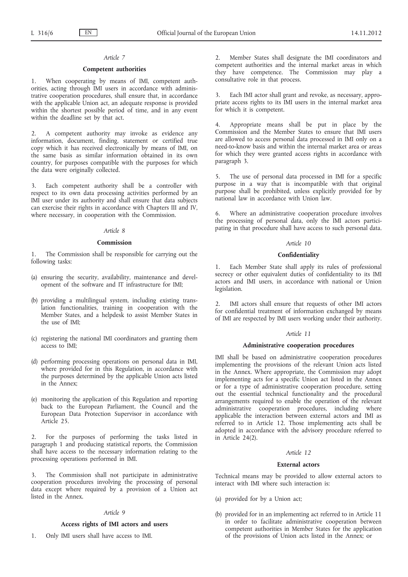# *Article 7*

# **Competent authorities**

1. When cooperating by means of IMI, competent authorities, acting through IMI users in accordance with administrative cooperation procedures, shall ensure that, in accordance with the applicable Union act, an adequate response is provided within the shortest possible period of time, and in any event within the deadline set by that act.

2. A competent authority may invoke as evidence any information, document, finding, statement or certified true copy which it has received electronically by means of IMI, on the same basis as similar information obtained in its own country, for purposes compatible with the purposes for which the data were originally collected.

3. Each competent authority shall be a controller with respect to its own data processing activities performed by an IMI user under its authority and shall ensure that data subjects can exercise their rights in accordance with Chapters III and IV, where necessary, in cooperation with the Commission.

### *Article 8*

### **Commission**

1. The Commission shall be responsible for carrying out the following tasks:

- (a) ensuring the security, availability, maintenance and development of the software and IT infrastructure for IMI;
- (b) providing a multilingual system, including existing translation functionalities, training in cooperation with the Member States, and a helpdesk to assist Member States in the use of IMI;
- (c) registering the national IMI coordinators and granting them access to IMI;
- (d) performing processing operations on personal data in IMI, where provided for in this Regulation, in accordance with the purposes determined by the applicable Union acts listed in the Annex;
- (e) monitoring the application of this Regulation and reporting back to the European Parliament, the Council and the European Data Protection Supervisor in accordance with Article 25.

2. For the purposes of performing the tasks listed in paragraph 1 and producing statistical reports, the Commission shall have access to the necessary information relating to the processing operations performed in IMI.

The Commission shall not participate in administrative cooperation procedures involving the processing of personal data except where required by a provision of a Union act listed in the Annex.

# *Article 9*

### **Access rights of IMI actors and users**

1. Only IMI users shall have access to IMI.

2. Member States shall designate the IMI coordinators and competent authorities and the internal market areas in which they have competence. The Commission may play a consultative role in that process.

Each IMI actor shall grant and revoke, as necessary, appropriate access rights to its IMI users in the internal market area for which it is competent.

4. Appropriate means shall be put in place by the Commission and the Member States to ensure that IMI users are allowed to access personal data processed in IMI only on a need-to-know basis and within the internal market area or areas for which they were granted access rights in accordance with paragraph 3.

5. The use of personal data processed in IMI for a specific purpose in a way that is incompatible with that original purpose shall be prohibited, unless explicitly provided for by national law in accordance with Union law.

6. Where an administrative cooperation procedure involves the processing of personal data, only the IMI actors participating in that procedure shall have access to such personal data.

# *Article 10*

### **Confidentiality**

Each Member State shall apply its rules of professional secrecy or other equivalent duties of confidentiality to its IMI actors and IMI users, in accordance with national or Union legislation.

2. IMI actors shall ensure that requests of other IMI actors for confidential treatment of information exchanged by means of IMI are respected by IMI users working under their authority.

# *Article 11*

# **Administrative cooperation procedures**

IMI shall be based on administrative cooperation procedures implementing the provisions of the relevant Union acts listed in the Annex. Where appropriate, the Commission may adopt implementing acts for a specific Union act listed in the Annex or for a type of administrative cooperation procedure, setting out the essential technical functionality and the procedural arrangements required to enable the operation of the relevant administrative cooperation procedures, including where applicable the interaction between external actors and IMI as referred to in Article 12. Those implementing acts shall be adopted in accordance with the advisory procedure referred to in Article 24(2).

# *Article 12*

### **External actors**

Technical means may be provided to allow external actors to interact with IMI where such interaction is:

- (a) provided for by a Union act;
- (b) provided for in an implementing act referred to in Article 11 in order to facilitate administrative cooperation between competent authorities in Member States for the application of the provisions of Union acts listed in the Annex; or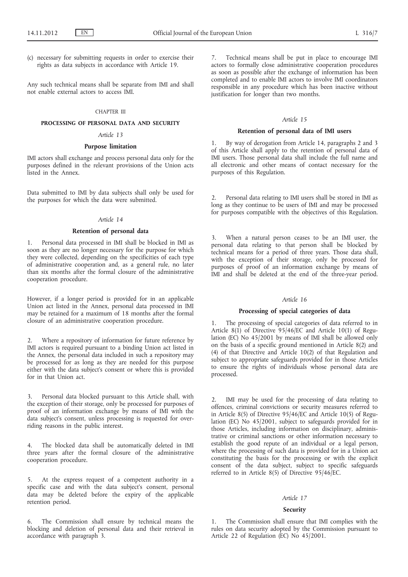(c) necessary for submitting requests in order to exercise their rights as data subjects in accordance with Article 19.

Any such technical means shall be separate from IMI and shall not enable external actors to access IMI.

#### CHAPTER III

# **PROCESSING OF PERSONAL DATA AND SECURITY**

# *Article 13*

# **Purpose limitation**

IMI actors shall exchange and process personal data only for the purposes defined in the relevant provisions of the Union acts listed in the Annex.

Data submitted to IMI by data subjects shall only be used for the purposes for which the data were submitted.

#### *Article 14*

# **Retention of personal data**

1. Personal data processed in IMI shall be blocked in IMI as soon as they are no longer necessary for the purpose for which they were collected, depending on the specificities of each type of administrative cooperation and, as a general rule, no later than six months after the formal closure of the administrative cooperation procedure.

However, if a longer period is provided for in an applicable Union act listed in the Annex, personal data processed in IMI may be retained for a maximum of 18 months after the formal closure of an administrative cooperation procedure.

2. Where a repository of information for future reference by IMI actors is required pursuant to a binding Union act listed in the Annex, the personal data included in such a repository may be processed for as long as they are needed for this purpose either with the data subject's consent or where this is provided for in that Union act.

3. Personal data blocked pursuant to this Article shall, with the exception of their storage, only be processed for purposes of proof of an information exchange by means of IMI with the data subject's consent, unless processing is requested for overriding reasons in the public interest.

4. The blocked data shall be automatically deleted in IMI three years after the formal closure of the administrative cooperation procedure.

5. At the express request of a competent authority in a specific case and with the data subject's consent, personal data may be deleted before the expiry of the applicable retention period.

6. The Commission shall ensure by technical means the blocking and deletion of personal data and their retrieval in accordance with paragraph 3.

7. Technical means shall be put in place to encourage IMI actors to formally close administrative cooperation procedures as soon as possible after the exchange of information has been completed and to enable IMI actors to involve IMI coordinators responsible in any procedure which has been inactive without justification for longer than two months.

#### *Article 15*

# **Retention of personal data of IMI users**

1. By way of derogation from Article 14, paragraphs 2 and 3 of this Article shall apply to the retention of personal data of IMI users. Those personal data shall include the full name and all electronic and other means of contact necessary for the purposes of this Regulation.

2. Personal data relating to IMI users shall be stored in IMI as long as they continue to be users of IMI and may be processed for purposes compatible with the objectives of this Regulation.

3. When a natural person ceases to be an IMI user, the personal data relating to that person shall be blocked by technical means for a period of three years. Those data shall, with the exception of their storage, only be processed for purposes of proof of an information exchange by means of IMI and shall be deleted at the end of the three-year period.

### *Article 16*

# **Processing of special categories of data**

1. The processing of special categories of data referred to in Article 8(1) of Directive 95/46/EC and Article 10(1) of Regulation (EC) No 45/2001 by means of IMI shall be allowed only on the basis of a specific ground mentioned in Article 8(2) and (4) of that Directive and Article 10(2) of that Regulation and subject to appropriate safeguards provided for in those Articles to ensure the rights of individuals whose personal data are processed.

2. IMI may be used for the processing of data relating to offences, criminal convictions or security measures referred to in Article 8(5) of Directive 95/46/EC and Article 10(5) of Regulation (EC) No 45/2001, subject to safeguards provided for in those Articles, including information on disciplinary, administrative or criminal sanctions or other information necessary to establish the good repute of an individual or a legal person, where the processing of such data is provided for in a Union act constituting the basis for the processing or with the explicit consent of the data subject, subject to specific safeguards referred to in Article 8(5) of Directive 95/46/EC.

#### *Article 17*

#### **Security**

1. The Commission shall ensure that IMI complies with the rules on data security adopted by the Commission pursuant to Article 22 of Regulation (EC) No 45/2001.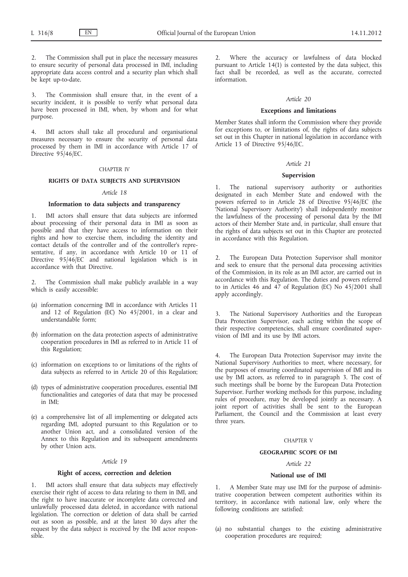2. The Commission shall put in place the necessary measures to ensure security of personal data processed in IMI, including appropriate data access control and a security plan which shall be kept up-to-date.

3. The Commission shall ensure that, in the event of a security incident, it is possible to verify what personal data have been processed in IMI, when, by whom and for what purpose.

4. IMI actors shall take all procedural and organisational measures necessary to ensure the security of personal data processed by them in IMI in accordance with Article 17 of Directive 95/46/EC.

### CHAPTER IV

# **RIGHTS OF DATA SUBJECTS AND SUPERVISION**

### *Article 18*

# **Information to data subjects and transparency**

1. IMI actors shall ensure that data subjects are informed about processing of their personal data in IMI as soon as possible and that they have access to information on their rights and how to exercise them, including the identity and contact details of the controller and of the controller's representative, if any, in accordance with Article 10 or 11 of Directive 95/46/EC and national legislation which is in accordance with that Directive.

2. The Commission shall make publicly available in a way which is easily accessible:

- (a) information concerning IMI in accordance with Articles 11 and 12 of Regulation (EC) No 45/2001, in a clear and understandable form;
- (b) information on the data protection aspects of administrative cooperation procedures in IMI as referred to in Article 11 of this Regulation;
- (c) information on exceptions to or limitations of the rights of data subjects as referred to in Article 20 of this Regulation;
- (d) types of administrative cooperation procedures, essential IMI functionalities and categories of data that may be processed in IMI;
- (e) a comprehensive list of all implementing or delegated acts regarding IMI, adopted pursuant to this Regulation or to another Union act, and a consolidated version of the Annex to this Regulation and its subsequent amendments by other Union acts.

### *Article 19*

#### **Right of access, correction and deletion**

1. IMI actors shall ensure that data subjects may effectively exercise their right of access to data relating to them in IMI, and the right to have inaccurate or incomplete data corrected and unlawfully processed data deleted, in accordance with national legislation. The correction or deletion of data shall be carried out as soon as possible, and at the latest 30 days after the request by the data subject is received by the IMI actor responsible.

2. Where the accuracy or lawfulness of data blocked pursuant to Article 14(1) is contested by the data subject, this fact shall be recorded, as well as the accurate, corrected information.

# *Article 20*

# **Exceptions and limitations**

Member States shall inform the Commission where they provide for exceptions to, or limitations of, the rights of data subjects set out in this Chapter in national legislation in accordance with Article 13 of Directive 95/46/EC.

### *Article 21*

# **Supervision**

The national supervisory authority or authorities designated in each Member State and endowed with the powers referred to in Article 28 of Directive 95/46/EC (the 'National Supervisory Authority') shall independently monitor the lawfulness of the processing of personal data by the IMI actors of their Member State and, in particular, shall ensure that the rights of data subjects set out in this Chapter are protected in accordance with this Regulation.

2. The European Data Protection Supervisor shall monitor and seek to ensure that the personal data processing activities of the Commission, in its role as an IMI actor, are carried out in accordance with this Regulation. The duties and powers referred to in Articles 46 and 47 of Regulation (EC) No 45/2001 shall apply accordingly.

3. The National Supervisory Authorities and the European Data Protection Supervisor, each acting within the scope of their respective competencies, shall ensure coordinated supervision of IMI and its use by IMI actors.

The European Data Protection Supervisor may invite the National Supervisory Authorities to meet, where necessary, for the purposes of ensuring coordinated supervision of IMI and its use by IMI actors, as referred to in paragraph 3. The cost of such meetings shall be borne by the European Data Protection Supervisor. Further working methods for this purpose, including rules of procedure, may be developed jointly as necessary. A joint report of activities shall be sent to the European Parliament, the Council and the Commission at least every three years.

### CHAPTER V

### **GEOGRAPHIC SCOPE OF IMI**

# *Article 22*

# **National use of IMI**

1. A Member State may use IMI for the purpose of administrative cooperation between competent authorities within its territory, in accordance with national law, only where the following conditions are satisfied:

(a) no substantial changes to the existing administrative cooperation procedures are required;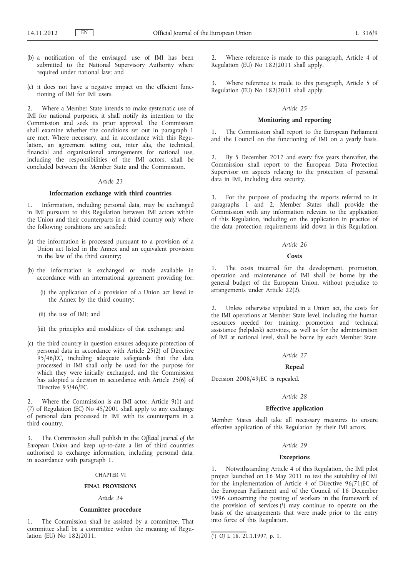- (b) a notification of the envisaged use of IMI has been submitted to the National Supervisory Authority where required under national law; and
- (c) it does not have a negative impact on the efficient functioning of IMI for IMI users.

2. Where a Member State intends to make systematic use of IMI for national purposes, it shall notify its intention to the Commission and seek its prior approval. The Commission shall examine whether the conditions set out in paragraph 1 are met. Where necessary, and in accordance with this Regulation, an agreement setting out, inter alia, the technical, financial and organisational arrangements for national use, including the responsibilities of the IMI actors, shall be concluded between the Member State and the Commission.

### *Article 23*

# **Information exchange with third countries**

1. Information, including personal data, may be exchanged in IMI pursuant to this Regulation between IMI actors within the Union and their counterparts in a third country only where the following conditions are satisfied:

- (a) the information is processed pursuant to a provision of a Union act listed in the Annex and an equivalent provision in the law of the third country;
- (b) the information is exchanged or made available in accordance with an international agreement providing for:
	- (i) the application of a provision of a Union act listed in the Annex by the third country;
	- (ii) the use of IMI; and
	- (iii) the principles and modalities of that exchange; and
- (c) the third country in question ensures adequate protection of personal data in accordance with Article 25(2) of Directive 95/46/EC, including adequate safeguards that the data processed in IMI shall only be used for the purpose for which they were initially exchanged, and the Commission has adopted a decision in accordance with Article 25(6) of Directive 95/46/EC.

2. Where the Commission is an IMI actor, Article 9(1) and (7) of Regulation (EC) No 45/2001 shall apply to any exchange of personal data processed in IMI with its counterparts in a third country.

3. The Commission shall publish in the *Official Journal of the European Union* and keep up-to-date a list of third countries authorised to exchange information, including personal data, in accordance with paragraph 1.

# CHAPTER VI

### **FINAL PROVISIONS**

# *Article 24*

### **Committee procedure**

1. The Commission shall be assisted by a committee. That committee shall be a committee within the meaning of Regulation (EU) No 182/2011.

2. Where reference is made to this paragraph, Article 4 of Regulation (EU) No 182/2011 shall apply.

3. Where reference is made to this paragraph, Article 5 of Regulation (EU) No 182/2011 shall apply.

# *Article 25*

# **Monitoring and reporting**

1. The Commission shall report to the European Parliament and the Council on the functioning of IMI on a yearly basis.

By 5 December 2017 and every five years thereafter, the Commission shall report to the European Data Protection Supervisor on aspects relating to the protection of personal data in IMI, including data security.

3. For the purpose of producing the reports referred to in paragraphs 1 and 2, Member States shall provide the Commission with any information relevant to the application of this Regulation, including on the application in practice of the data protection requirements laid down in this Regulation.

# *Article 26*

### **Costs**

1. The costs incurred for the development, promotion, operation and maintenance of IMI shall be borne by the general budget of the European Union, without prejudice to arrangements under Article 22(2).

2. Unless otherwise stipulated in a Union act, the costs for the IMI operations at Member State level, including the human resources needed for training, promotion and technical assistance (helpdesk) activities, as well as for the administration of IMI at national level, shall be borne by each Member State.

# *Article 27*

#### **Repeal**

Decision 2008/49/EC is repealed.

# *Article 28*

# **Effective application**

Member States shall take all necessary measures to ensure effective application of this Regulation by their IMI actors.

# *Article 29*

#### **Exceptions**

1. Notwithstanding Article 4 of this Regulation, the IMI pilot project launched on 16 May 2011 to test the suitability of IMI for the implementation of Article 4 of Directive 96/71/EC of the European Parliament and of the Council of 16 December 1996 concerning the posting of workers in the framework of the provision of services  $(1)$  may continue to operate on the basis of the arrangements that were made prior to the entry into force of this Regulation.

<sup>(</sup> 1) OJ L 18, 21.1.1997, p. 1.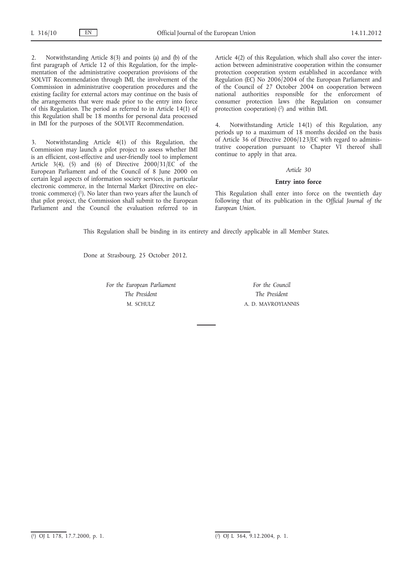2. Notwithstanding Article 8(3) and points (a) and (b) of the first paragraph of Article 12 of this Regulation, for the implementation of the administrative cooperation provisions of the SOLVIT Recommendation through IMI, the involvement of the Commission in administrative cooperation procedures and the existing facility for external actors may continue on the basis of the arrangements that were made prior to the entry into force of this Regulation. The period as referred to in Article 14(1) of this Regulation shall be 18 months for personal data processed in IMI for the purposes of the SOLVIT Recommendation.

3. Notwithstanding Article 4(1) of this Regulation, the Commission may launch a pilot project to assess whether IMI is an efficient, cost-effective and user-friendly tool to implement Article 3(4), (5) and (6) of Directive  $2000/31/\text{EC}$  of the European Parliament and of the Council of 8 June 2000 on certain legal aspects of information society services, in particular electronic commerce, in the Internal Market (Directive on electronic commerce)  $(1)$ . No later than two years after the launch of that pilot project, the Commission shall submit to the European Parliament and the Council the evaluation referred to in

Article 4(2) of this Regulation, which shall also cover the interaction between administrative cooperation within the consumer protection cooperation system established in accordance with Regulation (EC) No 2006/2004 of the European Parliament and of the Council of 27 October 2004 on cooperation between national authorities responsible for the enforcement of consumer protection laws (the Regulation on consumer protection cooperation) (2) and within IMI.

Notwithstanding Article 14(1) of this Regulation, any periods up to a maximum of 18 months decided on the basis of Article 36 of Directive 2006/123/EC with regard to administrative cooperation pursuant to Chapter VI thereof shall continue to apply in that area.

# *Article 30*

### **Entry into force**

This Regulation shall enter into force on the twentieth day following that of its publication in the *Official Journal of the European Union*.

This Regulation shall be binding in its entirety and directly applicable in all Member States.

Done at Strasbourg, 25 October 2012.

*For the European Parliament The President* M. SCHULZ

*For the Council The President* A. D. MAVROYIANNIS

 $\overline{(^1)}$  OJ L 178, 17.7.2000, p. 1.